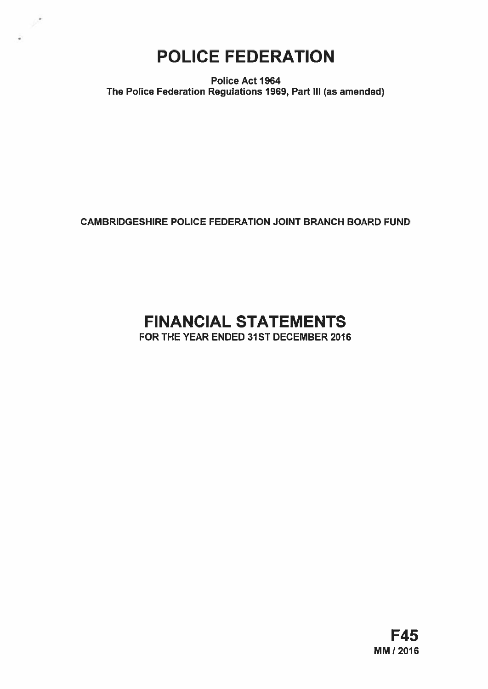# POLICE FEDERATION

 $\mathcal{L}^{\bullet}$ 

Police Act 1964 The Police Federation Regulations 1969, Part Ill (as amended)

CAMBRIDGESHIRE POLICE FEDERATION JOINT BRANCH BOARD FUND

# FINANCIAL STATEMENTS

FOR THE YEAR ENDED 31ST DECEMBER 2016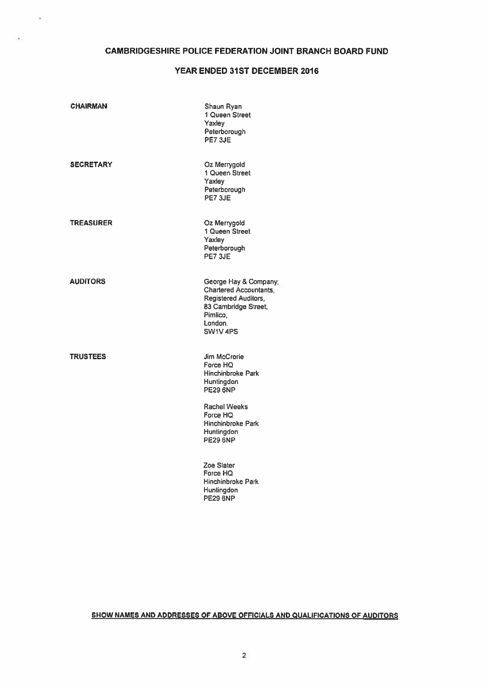# CAMBRIDGESHIRE POLICE FEDERATION JOINT BRANCH BOARD FUND

# YEAR ENDED 31ST DECEMBER 2016

| <b>CHAIRMAN</b>  | Shaun Ryan<br>1 Queen Street<br>Yaxley<br>Peterborough<br>PE7 3JE                                                                                                                                   |
|------------------|-----------------------------------------------------------------------------------------------------------------------------------------------------------------------------------------------------|
| <b>SECRETARY</b> | Oz Merrygold<br>1 Queen Street<br>Yaxlev<br>Peterborough<br>PE73JE                                                                                                                                  |
| <b>TREASURER</b> | Oz Merrygold<br>1 Queen Street<br>Yaxley<br>Peterborough<br>PE7 3JE                                                                                                                                 |
| <b>AUDITORS</b>  | George Hay & Company,<br><b>Chartered Accountants,</b><br><b>Registered Auditors,</b><br>83 Cambridge Street,<br>Pimlico.<br>London.<br>SW1V4PS                                                     |
| <b>TRUSTEES</b>  | <b>Jim McCrorie</b><br>Force HQ<br><b>Hinchinbroke Park</b><br><b>Huntingdon</b><br><b>PE29 6NP</b><br><b>Rachel Weeks</b><br>Force HQ<br><b>Hinchinbroke Park</b><br>Huntingdon<br><b>PE29 6NP</b> |
|                  | Zoe Slater<br>Force HQ<br><b>Hinchinbroke Park</b><br>Huntingdon<br><b>PE29 6NP</b>                                                                                                                 |

# SHOW NAMES AND ADDRESSES OF ABOVE OFFICIALS AND QUALIFICATIONS OF AUDITORS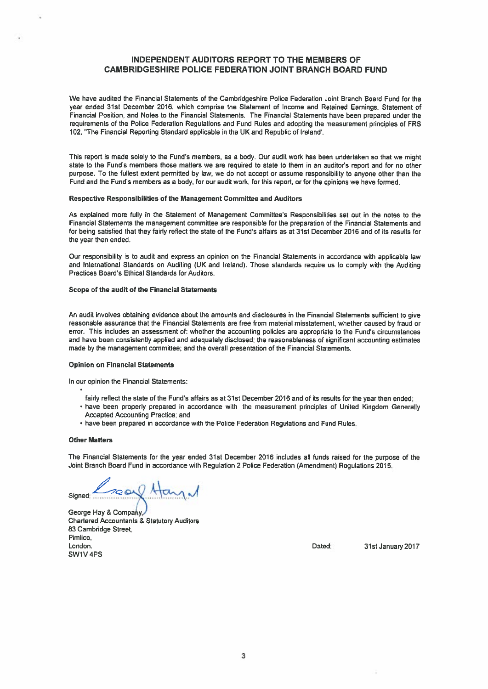# INDEPENDENT AUDITORS REPORT TO THE MEMBERS OF CAMBRIDGESHIRE POLICE FEDERATION JOINT BRANCH BOARD FUND

We have audited the Financial Statements of the Cambridgeshire Police Federation Joint Branch Board Fund for the year ended 31st December 2016, which comprise the Statement of Income and Retained Earnings, Statement of Financial Position, and Notes to the Financial Statements. The Financial Statements have been prepared under the requirements of the Police Federation Regulations and Fund Rules and adopting the measurement principles of FRS 102, "The Financial Reporting Standard applicable in the UK and Republic of Ireland'.

This repor<sup>t</sup> is made solely to the Fund's members, as <sup>a</sup> body. Our audit work has been undertaken so that we might state to the Fund's members those matters we are required to state to them in an auditor's repor<sup>t</sup> and for no other purpose. To the fullest extent permitted by law, we do not accep<sup>t</sup> or assume responsibility to anyone other than the Fund and the Fund's members as <sup>a</sup> body, for our audit work, for this report, or for the opinions we have formed.

#### Respective Responsibilities of the Management Committee and Auditors

As explained more fully in the Statement of Management Committee's Responsibilities set out in the notes to the Financial Statements the managemen<sup>t</sup> committee are responsible for the preparation of the Financial Statements and for being satisfied that they fairly reflect the state of the Fund's affairs as at 31st December 2016 and of its results for the year then ended,

Our responsibility is to audit and express an opinion on the Financial Statements in accordance with applicable law and International Standards on Auditing (UK and Ireland). Those standards require us to comply with the Auditing Practices Board's Ethical Standards for Auditors.

# Scope of the audit of the Financial Statements

An audit involves obtaining evidence about the amounts and disclosures in the Financial Statements sufficient to <sup>g</sup>ive reasonable assurance that the Financial Statements are free from material misstatement, whether caused by fraud or error. This includes an assessment of: whether the accounting policies are appropriate to the Fund's circumstances and have been consistently applied and adequately disclosed; the reasonableness of significant accounting estimates made by the managemen<sup>t</sup> committee; and the overall presentation of the Financial Statements.

#### Opinion on Financial Statements

In our opinion the Financial Statements:

- fairly reflect the state of the Fund's affairs as at 31st December <sup>2016</sup> and of its results for the year then ended;
- have been properly prepared in accordance with the measurement principles of United Kingdom Generally Accepted Accounting Practice; and
- have been prepared in accordance with the Police Federation Regulations and Fund Rules.

# Other Matters

The Financial Statements for the year ended 31st December 2016 includes all funds raised for the purpose of the Joint Branch Board Fund in accordance with Regulation 2 Police Federation (Amendment) Regulations 2015.

Signed: Kreav Ha

George Hay & Company Chartered Accountants & Statutory Auditors 83 Cambridge Street, Pimlico, London. 2017 **Contract Contract Contract Contract Contract Contract Contract Contract Contract Contract Contract Contract Contract Contract Contract Contract Contract Contract Contract Contract Contract Contract Contract C** SW1V 4PS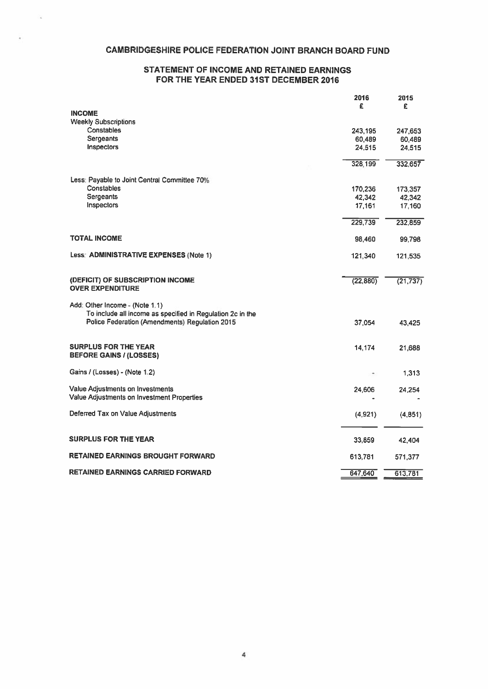# CAMBRIDGESHIRE POLICE FEDERATION JOINT BRANCH BOARD FUND

# STATEMENT OF INCOME AND RETAINED EARNINGS FOR THE YEAR ENDED 31ST DECEMBER 2016

|                                                                                                              | 2016<br>£        | 2015<br>£        |
|--------------------------------------------------------------------------------------------------------------|------------------|------------------|
| <b>INCOME</b>                                                                                                |                  |                  |
| <b>Weekly Subscriptions</b><br><b>Constables</b>                                                             |                  |                  |
| <b>Sergeants</b>                                                                                             | 243,195          | 247,653          |
| Inspectors                                                                                                   | 60,489<br>24,515 | 60,489<br>24,515 |
|                                                                                                              |                  |                  |
|                                                                                                              | 328,199          | 332,657          |
| Less: Payable to Joint Central Committee 70%                                                                 |                  |                  |
| Constables                                                                                                   | 170,236          | 173,357          |
| Sergeants                                                                                                    | 42,342           | 42,342           |
| <b>Inspectors</b>                                                                                            | 17,161           | 17,160           |
|                                                                                                              | 229,739          | 232,859          |
| <b>TOTAL INCOME</b>                                                                                          | 98,460           | 99,798           |
| Less: ADMINISTRATIVE EXPENSES (Note 1)                                                                       | 121,340          | 121,535          |
| (DEFICIT) OF SUBSCRIPTION INCOME<br><b>OVER EXPENDITURE</b>                                                  | (22, 880)        | (21, 737)        |
| Add: Other Income - (Note 1.1)                                                                               |                  |                  |
| To include all income as specified in Regulation 2c in the<br>Police Federation (Amendments) Regulation 2015 | 37,054           | 43,425           |
| <b>SURPLUS FOR THE YEAR</b><br><b>BEFORE GAINS / (LOSSES)</b>                                                | 14,174           | 21.688           |
|                                                                                                              |                  |                  |
| Gains / (Losses) - (Note 1.2)                                                                                |                  | 1,313            |
| Value Adjustments on Investments                                                                             | 24,606           | 24,254           |
| Value Adjustments on Investment Properties                                                                   |                  |                  |
| Deferred Tax on Value Adjustments                                                                            | (4,921)          | (4,851)          |
| <b>SURPLUS FOR THE YEAR</b>                                                                                  | 33,859           | 42,404           |
|                                                                                                              |                  |                  |
| <b>RETAINED EARNINGS BROUGHT FORWARD</b>                                                                     | 613,781          | 571,377          |
| <b>RETAINED EARNINGS CARRIED FORWARD</b>                                                                     | 647,640          | 613,781          |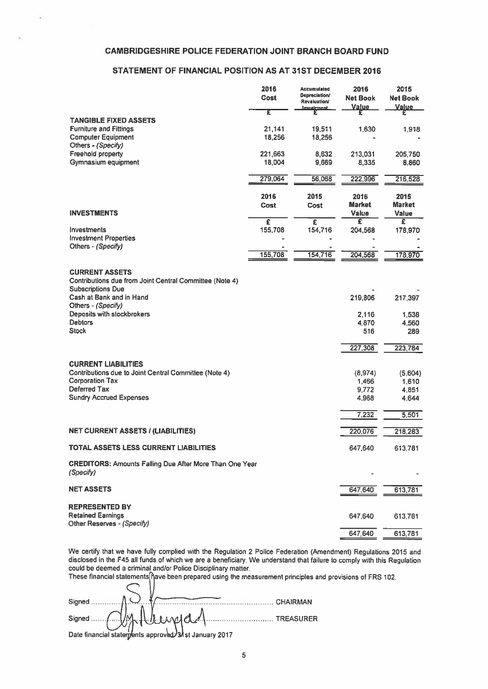# CAMBRIDGESHIRE POLICE FEDERATION JOINT BRANCH BOARD FUND

# STATEMENT OF FINANCIAL POSTTION AS AT 31ST DECEMBER 2016

| <b>CAMBRIDGESHIRE POLICE FEDERATION JOINT BRANCH BOARD FUND</b>                                                                                                                                                                                                                                             |                   |                                          |                                 |                               |
|-------------------------------------------------------------------------------------------------------------------------------------------------------------------------------------------------------------------------------------------------------------------------------------------------------------|-------------------|------------------------------------------|---------------------------------|-------------------------------|
| STATEMENT OF FINANCIAL POSITION AS AT 31ST DECEMBER 2016                                                                                                                                                                                                                                                    |                   |                                          |                                 |                               |
|                                                                                                                                                                                                                                                                                                             | 2016              | Accumulated<br><b>Depreciation/</b>      | 2016                            | 2015                          |
|                                                                                                                                                                                                                                                                                                             | Cost              | <b>Revaluation/</b><br><b>Impaigment</b> | <b>Net Book</b><br><b>Value</b> | <b>Net Book</b><br>Value      |
| <b>TANGIBLE FIXED ASSETS</b>                                                                                                                                                                                                                                                                                | Ŧ                 |                                          |                                 |                               |
| <b>Furniture and Fittings</b><br><b>Computer Equipment</b><br>Others - (Specify)                                                                                                                                                                                                                            | 21,141<br>18,256  | 19,511<br>18,256                         | 1.630                           | 1.918                         |
| Freehold property<br>Gymnasium equipment                                                                                                                                                                                                                                                                    | 221,663<br>18,004 | 8,632<br>9,669                           | 213,031<br>8,335                | 205,750<br>8,860              |
|                                                                                                                                                                                                                                                                                                             | 279,064           | 56,068                                   | 222,996                         | 216,528                       |
|                                                                                                                                                                                                                                                                                                             | 2016              | 2015                                     | 2016                            | 2015                          |
| <b>INVESTMENTS</b>                                                                                                                                                                                                                                                                                          | Cost              | Cost                                     | <b>Market</b><br>Value          | <b>Market</b><br><b>Value</b> |
| Investments                                                                                                                                                                                                                                                                                                 | £<br>155,708      | £<br>154,716                             | £<br>204,568                    | Ξ<br>178,970                  |
| <b>Investment Properties</b><br>Others - (Specify)                                                                                                                                                                                                                                                          |                   |                                          |                                 |                               |
|                                                                                                                                                                                                                                                                                                             | 155,708           | 154,716                                  | 204,568                         | 178,970                       |
| <b>CURRENT ASSETS</b>                                                                                                                                                                                                                                                                                       |                   |                                          |                                 |                               |
| Contributions due from Joint Central Committee (Note 4)<br><b>Subscriptions Due</b>                                                                                                                                                                                                                         |                   |                                          |                                 |                               |
| Cash at Bank and in Hand<br>Others - (Specify)                                                                                                                                                                                                                                                              |                   |                                          | 219,806                         | 217.397                       |
| Deposits with stockbrokers<br><b>Debtors</b>                                                                                                                                                                                                                                                                |                   |                                          | 2,116<br>4.870                  | 1,538<br>4.560                |
| <b>Stock</b>                                                                                                                                                                                                                                                                                                |                   |                                          | 516                             | 289                           |
|                                                                                                                                                                                                                                                                                                             |                   |                                          | 227,308                         | 223,784                       |
| <b>CURRENT LIABILITIES</b>                                                                                                                                                                                                                                                                                  |                   |                                          |                                 |                               |
| Contributions due to Joint Central Committee (Note 4)<br><b>Corporation Tax</b>                                                                                                                                                                                                                             |                   |                                          | (8,974)<br>1,466                | (5,604)<br>1,610              |
| Deferred Tax<br><b>Sundry Accrued Expenses</b>                                                                                                                                                                                                                                                              |                   |                                          | 9,772<br>4.968                  | 4,851<br>4,644                |
|                                                                                                                                                                                                                                                                                                             |                   |                                          | 7,232                           | 5,501                         |
| <b>NET CURRENT ASSETS / (LIABILITIES)</b>                                                                                                                                                                                                                                                                   |                   |                                          | 220,076                         | 218,283                       |
| TOTAL ASSETS LESS CURRENT LIABILITIES                                                                                                                                                                                                                                                                       |                   |                                          | 647,640                         | 613,781                       |
| <b>CREDITORS: Amounts Falling Due After More Than One Year</b><br>(Specify)                                                                                                                                                                                                                                 |                   |                                          |                                 |                               |
| <b>NET ASSETS</b>                                                                                                                                                                                                                                                                                           |                   |                                          | 647,640                         | 613,781                       |
| <b>REPRESENTED BY</b>                                                                                                                                                                                                                                                                                       |                   |                                          |                                 |                               |
| <b>Retained Earnings</b><br>Other Reserves - (Specify)                                                                                                                                                                                                                                                      |                   |                                          | 647,640                         | 613,781                       |
|                                                                                                                                                                                                                                                                                                             |                   |                                          | 647,640                         | 613,781                       |
| We certify that we have fully complied with the Regulation 2 Police Federation (Amendment) Regulations 2015 and<br>disclosed in the F45 all funds of which we are a beneficiary. We understand that failure to comply with this Regulation<br>could be deemed a criminal and/or Police Disciplinary matter. |                   |                                          |                                 |                               |

These financial statements[ħave been prepared using the measurement principles and provisions of FRS 102.

| Signed                                               |             | <b>CHAIRMAN</b> |
|------------------------------------------------------|-------------|-----------------|
| Signed.                                              | Milleured 1 | TREASURER       |
| Date financial statements approved 3 st January 2017 |             |                 |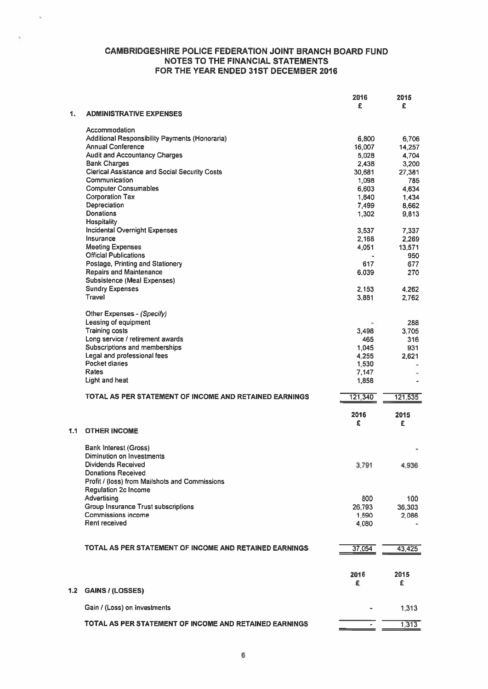$\tilde{\mathbf{v}}$ 

|     |                                                        | 2016<br>£ | 2015<br>£ |
|-----|--------------------------------------------------------|-----------|-----------|
| 1.  | <b>ADMINISTRATIVE EXPENSES</b>                         |           |           |
|     | Accommodation                                          |           |           |
|     | Additional Responsibility Payments (Honoraria)         | 6,800     | 6,706     |
|     | <b>Annual Conference</b>                               | 16,007    | 14,257    |
|     | <b>Audit and Accountancy Charges</b>                   | 5,028     | 4,704     |
|     | <b>Bank Charges</b>                                    | 2,438     | 3,200     |
|     | <b>Clerical Assistance and Social Security Costs</b>   | 30,681    | 27,381    |
|     | Communication                                          | 1,098     | 785       |
|     | <b>Computer Consumables</b>                            | 6,603     | 4.634     |
|     | <b>Corporation Tax</b>                                 | 1,640     | 1,434     |
|     | Depreciation                                           | 7,499     | 8,662     |
|     | <b>Donations</b>                                       | 1,302     | 9,813     |
|     | <b>Hospitality</b>                                     |           |           |
|     | <b>Incidental Overnight Expenses</b>                   | 3,537     | 7,337     |
|     | Insurance                                              | 2,168     | 2,269     |
|     | <b>Meeting Expenses</b>                                | 4,051     | 13,571    |
|     | <b>Official Publications</b>                           |           | 950       |
|     | Postage, Printing and Stationery                       | 617       | 677       |
|     | <b>Repairs and Maintenance</b>                         | 6.039     | 270       |
|     | Subsistence (Meal Expenses)                            |           |           |
|     | <b>Sundry Expenses</b>                                 | 2.153     | 4.262     |
|     | Travel                                                 | 3,881     | 2.762     |
|     | Other Expenses - (Specify)                             |           |           |
|     | Leasing of equipment                                   |           | 288       |
|     | <b>Training costs</b>                                  | 3,498     | 3.705     |
|     | Long service / retirement awards                       | 465       | 316       |
|     | Subscriptions and memberships                          | 1.045     | 931       |
|     | Legal and professional fees                            | 4.255     | 2.621     |
|     | <b>Pocket diaries</b>                                  | 1,530     |           |
|     | Rates                                                  | 7.147     |           |
|     | Light and heat                                         | 1,858     |           |
|     | TOTAL AS PER STATEMENT OF INCOME AND RETAINED EARNINGS | 121,340   | 121,535   |
|     |                                                        |           |           |
|     |                                                        | 2016<br>£ | 2015      |
| 1.1 | <b>OTHER INCOME</b>                                    |           | £         |
|     | <b>Bank Interest (Gross)</b>                           |           |           |
|     | Diminution on Investments                              |           |           |
|     | Dividends Received                                     | 3,791     | 4,936     |
|     | <b>Donations Received</b>                              |           |           |
|     | Profit / (loss) from Mailshots and Commissions         |           |           |
|     | Regulation 2c Income                                   |           |           |
|     | Advertising                                            | 800       | 100       |
|     | <b>Group Insurance Trust subscriptions</b>             | 26,793    | 36,303    |
|     | <b>Commissions income</b>                              | 1,590     | 2,086     |
|     | Rent received                                          | 4,080     |           |
|     |                                                        |           |           |
|     |                                                        |           |           |
|     | TOTAL AS PER STATEMENT OF INCOME AND RETAINED EARNINGS | 37,054    | 43,425    |
|     |                                                        |           |           |
|     |                                                        | 2016<br>£ | 2015<br>£ |
| 1.2 | <b>GAINS / (LOSSES)</b>                                |           |           |
|     | Gain / (Loss) on Investments                           |           | 1,313     |
|     | TOTAL AS PER STATEMENT OF INCOME AND RETAINED EARNINGS |           | 1,313     |
|     |                                                        |           |           |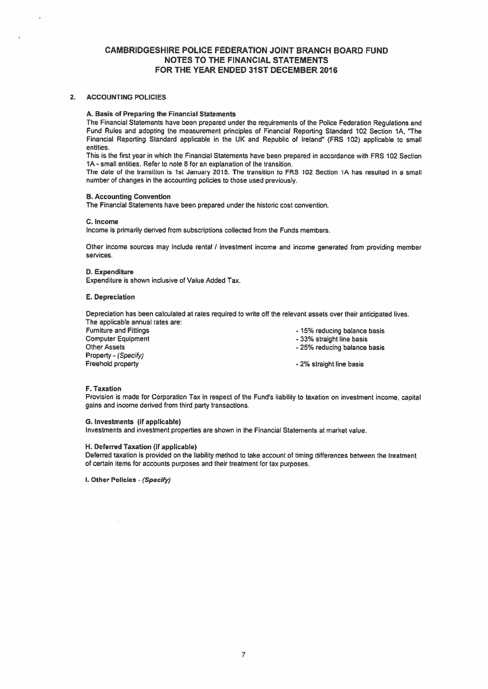# 2. ACCOUNTING POLICIES

# A. Basis of Preparing the Financial Statements

The Financial Statements have been prepared under the requirements of the Police Federation Regulations and Fund Rules and adopting the measurement principles of Financial Reporting Standard 102 Section 1A. The Financial Reporting Standard applicable in the UK and Republic of Ireland" (FRS 102) applicable to small entities.

This is the first year in which the Financial Statements have been prepared in accordance with FRS 102 Section 1A -small entities. Refer to note 8 for an explanation of the transition.

The date of the transition is 1st January 2015. The transition to FRS 102 Section IA has resulted in <sup>a</sup> small number of changes in the accounting policies to those used previously.

# B. Accounting Convention

The Financial Statements have been prepared under the historic cost convention.

#### C. Income

Income is primarily derived from subscriptions collected from the Funds members.

Other income sources may include rental / investment income and income generated from providing member services.

# D. Expenditure

Expenditure is shown inclusive of Value Added Tax.

#### E. Depreciation

Depreciation has been calculated at rates required to write off the relevant assets over their anticipated lives. The applicable annual rates are:

Furniture and Fittings<br>
Computer Equipment<br>
Computer Equipment<br>
Computer Equipment<br>
Computer Equipment Computer Equipment **Computer Equipment** Computer Equipment<br>
Other Assets<br>
Other Assets<br>
Other Assets<br>
Computer 25% reducing balance Property - (Specify)<br>Freehold property

- 
- 
- 25% reducing balance basis
- 2% straight line basis

#### F. Taxation

Provision is made for Corporation Tax in respect of the Fund's liability to taxation on investment income, capital gains and income derived from third party transactions.

#### C. Investments (if applicable)

Investments and investment properties are shown in the Financial Statements at market value.

# H. Deferred Taxation (if applicable)

Deferred taxation is provided on the liability method to take account of timing differences between the treatment of certain items for accounts purposes and their treatment for tax purposes.

I. Other Policies - (Specify)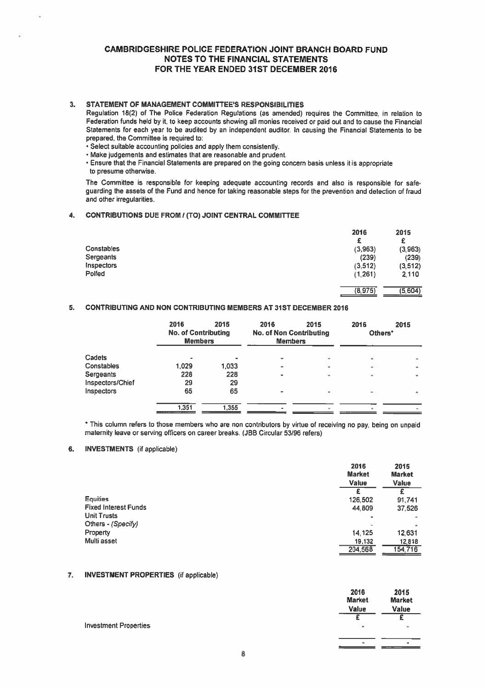# 3. STATEMENT OF MANAGEMENT COMMITTEE'S RESPONSIBILITIES

Regulation 18(2) of The Police Federation Regulations (as amended) requires the Committee. in relation to Federation funds held by it. to keep accounts showing all monies received or paid out and to cause the Financial Statements for each year to be audited by an independent auditor In causing the Financial Statements to be prepared. the Committee is required to:

- Select suitable accounting policies and apply them consistently.
- Make judgements and estimates that are reasonable and prudent.
- Ensure that the Financial Statements are prepared on the going concem basis unless it is appropriate to presume otherwise.

The Committee is responsible for keeping adequate accounting records and also is responsible for safe guarding the assets of the Fund and hence for taking reasonable steps for the prevention and detection of fraud and other irregularities.

# 4. CONTRIBUTIONS DUE FROM I (TO) JOINT CENTRAL COMMITtEE

|                   | 2016     | 2015     |
|-------------------|----------|----------|
|                   | £        | £        |
| Constables        | (3,963)  | (3,963)  |
| Sergeants         | (239)    | (239)    |
| <b>Inspectors</b> | (3, 512) | (3, 512) |
| Polfed            | (1,261)  | 2,110    |
|                   | (8,975)  | (5,604)  |

# 5. CONTRIBUTING AND NON CONTRIBUTING MEMBERS AT 31ST DECEMBER 2016

|                  | 2016<br><b>No. of Contributing</b><br><b>Members</b> | 2015  | 2016<br><b>No. of Non Contributing</b><br><b>Members</b> | 2015 | 2016<br>Others* | 2015 |
|------------------|------------------------------------------------------|-------|----------------------------------------------------------|------|-----------------|------|
| Cadets           |                                                      |       | $\overline{\phantom{0}}$                                 |      |                 | ٠    |
| Constables       | 1.029                                                | 1,033 | -                                                        | ٠    | -               | ä,   |
| Sergeants        | 228                                                  | 228   | ۰                                                        | ۰    | ÷               | W.   |
| Inspectors/Chief | 29                                                   | 29    |                                                          |      |                 |      |
| Inspectors       | 65                                                   | 65    | $\blacksquare$                                           |      |                 |      |
|                  | 1.351                                                | 1,355 |                                                          |      |                 |      |

\* This column refers to those members who are non contributors by virtue of receiving no pay, being on unpaid maternity leave or serving officers on career breaks. (JBB Circular 53196 refers)

# 6. INVESTMENTS (if applicable)

|                      | 2016<br><b>Market</b><br>Value | 2015<br><b>Market</b><br><b>Value</b> |
|----------------------|--------------------------------|---------------------------------------|
|                      |                                |                                       |
| <b>Equities</b>      | 126,502                        | 91.741                                |
| Fixed Interest Funds | 44.809                         | 37,526                                |
| <b>Unit Trusts</b>   |                                | ÷                                     |
| Others - (Specify)   |                                | ۰                                     |
| Property             | 14.125                         | 12,631                                |
| Multi asset          | 19,132                         | 12,818                                |
|                      | 204,568                        | 154,716                               |
|                      |                                |                                       |

# 7. INVESTMENT PROPERTIES (if applicable)

|                              | 2016<br><b>Market</b> | 2015<br><b>Market</b> |
|------------------------------|-----------------------|-----------------------|
|                              | <b>Value</b>          | Value                 |
|                              |                       |                       |
| <b>Investment Properties</b> | $\overline{a}$        | w.                    |
|                              |                       |                       |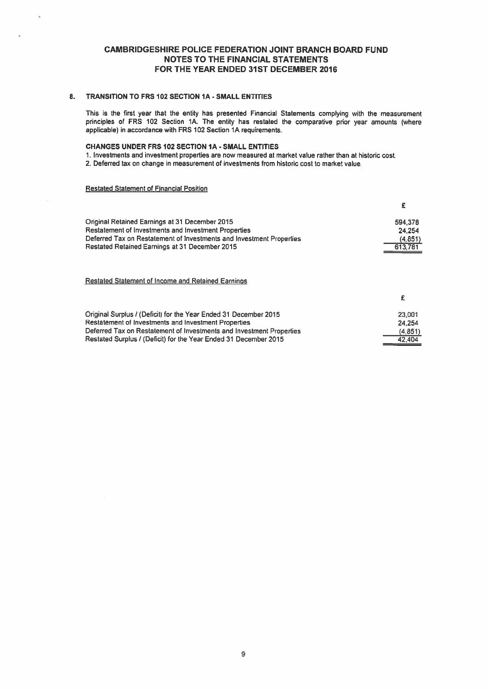# 8. TRANSITION TO FRS 102 SECTION IA - SMALL ENTITIES

This is the first year that the entity has presented Financial Statements complying with the measurement principles of FRS <sup>102</sup> Section 1A. The entity has restated the comparative prior year amounts (where applicable) in accordance with FRS 102 Section 1A requirements.

# CHANGES UNDER FRS 102 SECTION IA - SMALL ENTITIES

1. Investments and investment properties are now measured at market value rather than at historic cost.

2. Deferred tax on change in measurement of investments from historic cost to market value.

# Restated Statement of Financial Position

| Original Retained Earnings at 31 December 2015                       | 594 378 |
|----------------------------------------------------------------------|---------|
| <b>Restatement of Investments and Investment Properties</b>          | 24.254  |
| Deferred Tax on Restatement of Investments and Investment Properties | (4.851) |
| Restated Retained Earnings at 31 December 2015                       | 613.781 |
|                                                                      |         |
| <b>Restated Statement of Income and Retained Earnings</b>            |         |
|                                                                      |         |

| Original Surplus / (Deficit) for the Year Ended 31 December 2015     | 23,001   |
|----------------------------------------------------------------------|----------|
| <b>Restatement of Investments and Investment Properties</b>          | 24.254   |
| Deferred Tax on Restatement of Investments and Investment Properties | (4, 851) |
| Restated Surplus / (Deficit) for the Year Ended 31 December 2015     | 42.404   |